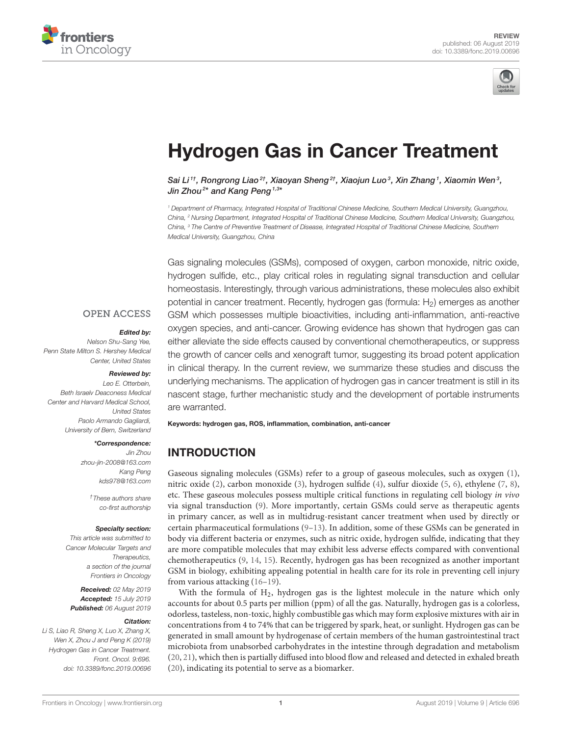



# [Hydrogen Gas in Cancer Treatment](https://www.frontiersin.org/articles/10.3389/fonc.2019.00696/full)

[Sai Li](http://loop.frontiersin.org/people/727570/overview) $^{1\dagger}$ , Rongrong Liao $^{2\dagger}$ , Xiaoyan Sheng $^{2\dagger}$ , Xiaojun Luo $^3$ , Xin Zhang $^1$ , Xiaomin Wen $^3$ , Jin Zhou<sup>2\*</sup> and Kang Peng <sup>1,3\*</sup>

*<sup>1</sup> Department of Pharmacy, Integrated Hospital of Traditional Chinese Medicine, Southern Medical University, Guangzhou, China, <sup>2</sup> Nursing Department, Integrated Hospital of Traditional Chinese Medicine, Southern Medical University, Guangzhou, China, <sup>3</sup> The Centre of Preventive Treatment of Disease, Integrated Hospital of Traditional Chinese Medicine, Southern Medical University, Guangzhou, China*

Gas signaling molecules (GSMs), composed of oxygen, carbon monoxide, nitric oxide, hydrogen sulfide, etc., play critical roles in regulating signal transduction and cellular homeostasis. Interestingly, through various administrations, these molecules also exhibit potential in cancer treatment. Recently, hydrogen gas (formula:  $H<sub>2</sub>$ ) emerges as another GSM which possesses multiple bioactivities, including anti-inflammation, anti-reactive oxygen species, and anti-cancer. Growing evidence has shown that hydrogen gas can either alleviate the side effects caused by conventional chemotherapeutics, or suppress the growth of cancer cells and xenograft tumor, suggesting its broad potent application in clinical therapy. In the current review, we summarize these studies and discuss the underlying mechanisms. The application of hydrogen gas in cancer treatment is still in its nascent stage, further mechanistic study and the development of portable instruments are warranted.

Keywords: hydrogen gas, ROS, inflammation, combination, anti-cancer

### INTRODUCTION

Gaseous signaling molecules (GSMs) refer to a group of gaseous molecules, such as oxygen [\(1\)](#page-5-0), nitric oxide [\(2\)](#page-5-1), carbon monoxide [\(3\)](#page-5-2), hydrogen sulfide [\(4\)](#page-5-3), sulfur dioxide [\(5,](#page-6-0) [6\)](#page-6-1), ethylene [\(7,](#page-6-2) [8\)](#page-6-3), etc. These gaseous molecules possess multiple critical functions in regulating cell biology in vivo via signal transduction [\(9\)](#page-6-4). More importantly, certain GSMs could serve as therapeutic agents in primary cancer, as well as in multidrug-resistant cancer treatment when used by directly or certain pharmaceutical formulations [\(9](#page-6-4)[–13\)](#page-6-5). In addition, some of these GSMs can be generated in body via different bacteria or enzymes, such as nitric oxide, hydrogen sulfide, indicating that they are more compatible molecules that may exhibit less adverse effects compared with conventional chemotherapeutics [\(9,](#page-6-4) [14,](#page-6-6) [15\)](#page-6-7). Recently, hydrogen gas has been recognized as another important GSM in biology, exhibiting appealing potential in health care for its role in preventing cell injury from various attacking [\(16](#page-6-8)[–19\)](#page-6-9).

With the formula of H2, hydrogen gas is the lightest molecule in the nature which only accounts for about 0.5 parts per million (ppm) of all the gas. Naturally, hydrogen gas is a colorless, odorless, tasteless, non-toxic, highly combustible gas which may form explosive mixtures with air in concentrations from 4 to 74% that can be triggered by spark, heat, or sunlight. Hydrogen gas can be generated in small amount by hydrogenase of certain members of the human gastrointestinal tract microbiota from unabsorbed carbohydrates in the intestine through degradation and metabolism [\(20,](#page-6-10) [21\)](#page-6-11), which then is partially diffused into blood flow and released and detected in exhaled breath [\(20\)](#page-6-10), indicating its potential to serve as a biomarker.

#### **OPEN ACCESS**

#### Edited by:

*Nelson Shu-Sang Yee, Penn State Milton S. Hershey Medical Center, United States*

#### Reviewed by:

*Leo E. Otterbein, Beth Israelv Deaconess Medical Center and Harvard Medical School, United States Paolo Armando Gagliardi, University of Bern, Switzerland*

#### \*Correspondence:

*Jin Zhou [zhou-jin-2008@163.com](mailto:zhou-jin-2008@163.com) Kang Peng [kds978@163.com](mailto:kds978@163.com)*

> *†These authors share co-first authorship*

#### Specialty section:

*This article was submitted to Cancer Molecular Targets and Therapeutics, a section of the journal Frontiers in Oncology*

Received: *02 May 2019* Accepted: *15 July 2019* Published: *06 August 2019*

#### Citation:

*Li S, Liao R, Sheng X, Luo X, Zhang X, Wen X, Zhou J and Peng K (2019) Hydrogen Gas in Cancer Treatment. Front. Oncol. 9:696. doi: [10.3389/fonc.2019.00696](https://doi.org/10.3389/fonc.2019.00696)*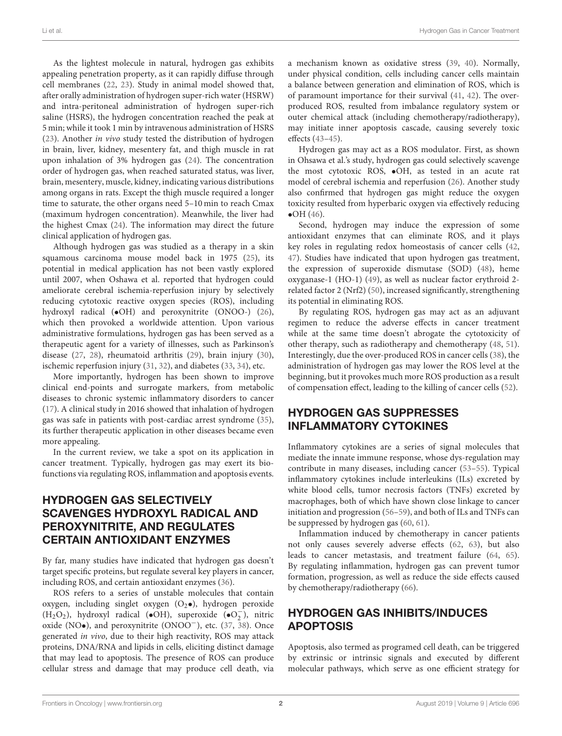As the lightest molecule in natural, hydrogen gas exhibits appealing penetration property, as it can rapidly diffuse through cell membranes [\(22,](#page-6-12) [23\)](#page-6-13). Study in animal model showed that, after orally administration of hydrogen super-rich water (HSRW) and intra-peritoneal administration of hydrogen super-rich saline (HSRS), the hydrogen concentration reached the peak at 5 min; while it took 1 min by intravenous administration of HSRS [\(23\)](#page-6-13). Another in vivo study tested the distribution of hydrogen in brain, liver, kidney, mesentery fat, and thigh muscle in rat upon inhalation of 3% hydrogen gas [\(24\)](#page-6-14). The concentration order of hydrogen gas, when reached saturated status, was liver, brain, mesentery, muscle, kidney, indicating various distributions among organs in rats. Except the thigh muscle required a longer time to saturate, the other organs need 5–10 min to reach Cmax (maximum hydrogen concentration). Meanwhile, the liver had the highest Cmax [\(24\)](#page-6-14). The information may direct the future clinical application of hydrogen gas.

Although hydrogen gas was studied as a therapy in a skin squamous carcinoma mouse model back in 1975 [\(25\)](#page-6-15), its potential in medical application has not been vastly explored until 2007, when Oshawa et al. reported that hydrogen could ameliorate cerebral ischemia-reperfusion injury by selectively reducing cytotoxic reactive oxygen species (ROS), including hydroxyl radical (•OH) and peroxynitrite (ONOO-) [\(26\)](#page-6-16), which then provoked a worldwide attention. Upon various administrative formulations, hydrogen gas has been served as a therapeutic agent for a variety of illnesses, such as Parkinson's disease [\(27,](#page-6-17) [28\)](#page-6-18), rheumatoid arthritis [\(29\)](#page-6-19), brain injury [\(30\)](#page-6-20), ischemic reperfusion injury [\(31,](#page-6-21) [32\)](#page-6-22), and diabetes [\(33,](#page-6-23) [34\)](#page-6-24), etc.

More importantly, hydrogen has been shown to improve clinical end-points and surrogate markers, from metabolic diseases to chronic systemic inflammatory disorders to cancer [\(17\)](#page-6-25). A clinical study in 2016 showed that inhalation of hydrogen gas was safe in patients with post-cardiac arrest syndrome [\(35\)](#page-6-26), its further therapeutic application in other diseases became even more appealing.

In the current review, we take a spot on its application in cancer treatment. Typically, hydrogen gas may exert its biofunctions via regulating ROS, inflammation and apoptosis events.

### HYDROGEN GAS SELECTIVELY SCAVENGES HYDROXYL RADICAL AND PEROXYNITRITE, AND REGULATES CERTAIN ANTIOXIDANT ENZYMES

By far, many studies have indicated that hydrogen gas doesn't target specific proteins, but regulate several key players in cancer, including ROS, and certain antioxidant enzymes [\(36\)](#page-6-27).

ROS refers to a series of unstable molecules that contain oxygen, including singlet oxygen  $(O_2 \bullet)$ , hydrogen peroxide  $(H_2O_2)$ , hydroxyl radical (•OH), superoxide (•O<sub>2</sub>)  $\binom{1}{2}$ , nitric oxide (NO•), and peroxynitrite (ONOO−), etc. [\(37,](#page-6-28) [38\)](#page-6-29). Once generated in vivo, due to their high reactivity, ROS may attack proteins, DNA/RNA and lipids in cells, eliciting distinct damage that may lead to apoptosis. The presence of ROS can produce cellular stress and damage that may produce cell death, via a mechanism known as oxidative stress [\(39,](#page-6-30) [40\)](#page-6-31). Normally, under physical condition, cells including cancer cells maintain a balance between generation and elimination of ROS, which is of paramount importance for their survival [\(41,](#page-6-32) [42\)](#page-6-33). The overproduced ROS, resulted from imbalance regulatory system or outer chemical attack (including chemotherapy/radiotherapy), may initiate inner apoptosis cascade, causing severely toxic effects [\(43](#page-6-34)[–45\)](#page-6-35).

Hydrogen gas may act as a ROS modulator. First, as shown in Ohsawa et al.'s study, hydrogen gas could selectively scavenge the most cytotoxic ROS, •OH, as tested in an acute rat model of cerebral ischemia and reperfusion [\(26\)](#page-6-16). Another study also confirmed that hydrogen gas might reduce the oxygen toxicity resulted from hyperbaric oxygen via effectively reducing  $\bullet$ OH [\(46\)](#page-6-36).

Second, hydrogen may induce the expression of some antioxidant enzymes that can eliminate ROS, and it plays key roles in regulating redox homeostasis of cancer cells [\(42,](#page-6-33) [47\)](#page-7-0). Studies have indicated that upon hydrogen gas treatment, the expression of superoxide dismutase (SOD) [\(48\)](#page-7-1), heme oxyganase-1 (HO-1) [\(49\)](#page-7-2), as well as nuclear factor erythroid 2 related factor 2 (Nrf2) [\(50\)](#page-7-3), increased significantly, strengthening its potential in eliminating ROS.

By regulating ROS, hydrogen gas may act as an adjuvant regimen to reduce the adverse effects in cancer treatment while at the same time doesn't abrogate the cytotoxicity of other therapy, such as radiotherapy and chemotherapy [\(48,](#page-7-1) [51\)](#page-7-4). Interestingly, due the over-produced ROS in cancer cells [\(38\)](#page-6-29), the administration of hydrogen gas may lower the ROS level at the beginning, but it provokes much more ROS production as a result of compensation effect, leading to the killing of cancer cells [\(52\)](#page-7-5).

#### HYDROGEN GAS SUPPRESSES INFLAMMATORY CYTOKINES

Inflammatory cytokines are a series of signal molecules that mediate the innate immune response, whose dys-regulation may contribute in many diseases, including cancer [\(53](#page-7-6)[–55\)](#page-7-7). Typical inflammatory cytokines include interleukins (ILs) excreted by white blood cells, tumor necrosis factors (TNFs) excreted by macrophages, both of which have shown close linkage to cancer initiation and progression [\(56](#page-7-8)[–59\)](#page-7-9), and both of ILs and TNFs can be suppressed by hydrogen gas [\(60,](#page-7-10) [61\)](#page-7-11).

Inflammation induced by chemotherapy in cancer patients not only causes severely adverse effects [\(62,](#page-7-12) [63\)](#page-7-13), but also leads to cancer metastasis, and treatment failure [\(64,](#page-7-14) [65\)](#page-7-15). By regulating inflammation, hydrogen gas can prevent tumor formation, progression, as well as reduce the side effects caused by chemotherapy/radiotherapy [\(66\)](#page-7-16).

### HYDROGEN GAS INHIBITS/INDUCES APOPTOSIS

Apoptosis, also termed as programed cell death, can be triggered by extrinsic or intrinsic signals and executed by different molecular pathways, which serve as one efficient strategy for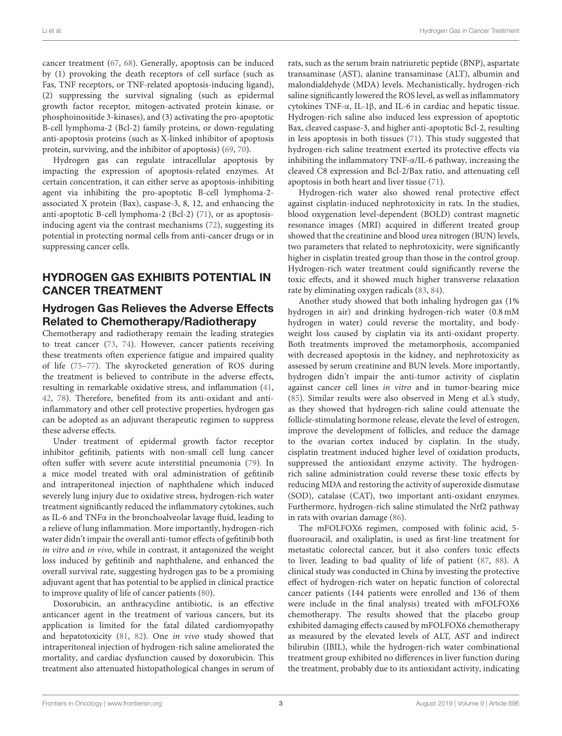cancer treatment [\(67,](#page-7-17) [68\)](#page-7-18). Generally, apoptosis can be induced by (1) provoking the death receptors of cell surface (such as Fas, TNF receptors, or TNF-related apoptosis-inducing ligand), (2) suppressing the survival signaling (such as epidermal growth factor receptor, mitogen-activated protein kinase, or phosphoinositide 3-kinases), and (3) activating the pro-apoptotic B-cell lymphoma-2 (Bcl-2) family proteins, or down-regulating anti-apoptosis proteins (such as X-linked inhibitor of apoptosis protein, surviving, and the inhibitor of apoptosis) [\(69,](#page-7-19) [70\)](#page-7-20).

Hydrogen gas can regulate intracellular apoptosis by impacting the expression of apoptosis-related enzymes. At certain concentration, it can either serve as apoptosis-inhibiting agent via inhibiting the pro-apoptotic B-cell lymphoma-2 associated X protein (Bax), caspase-3, 8, 12, and enhancing the anti-apoptotic B-cell lymphoma-2 (Bcl-2) [\(71\)](#page-7-21), or as apoptosisinducing agent via the contrast mechanisms [\(72\)](#page-7-22), suggesting its potential in protecting normal cells from anti-cancer drugs or in suppressing cancer cells.

### HYDROGEN GAS EXHIBITS POTENTIAL IN CANCER TREATMENT

#### Hydrogen Gas Relieves the Adverse Effects Related to Chemotherapy/Radiotherapy

Chemotherapy and radiotherapy remain the leading strategies to treat cancer [\(73,](#page-7-23) [74\)](#page-7-24). However, cancer patients receiving these treatments often experience fatigue and impaired quality of life [\(75](#page-7-25)[–77\)](#page-7-26). The skyrocketed generation of ROS during the treatment is believed to contribute in the adverse effects, resulting in remarkable oxidative stress, and inflammation [\(41,](#page-6-32) [42,](#page-6-33) [78\)](#page-7-27). Therefore, benefited from its anti-oxidant and antiinflammatory and other cell protective properties, hydrogen gas can be adopted as an adjuvant therapeutic regimen to suppress these adverse effects.

Under treatment of epidermal growth factor receptor inhibitor gefitinib, patients with non-small cell lung cancer often suffer with severe acute interstitial pneumonia [\(79\)](#page-7-28). In a mice model treated with oral administration of gefitinib and intraperitoneal injection of naphthalene which induced severely lung injury due to oxidative stress, hydrogen-rich water treatment significantly reduced the inflammatory cytokines, such as IL-6 and TNFα in the bronchoalveolar lavage fluid, leading to a relieve of lung inflammation. More importantly, hydrogen-rich water didn't impair the overall anti-tumor effects of gefitinib both in vitro and in vivo, while in contrast, it antagonized the weight loss induced by gefitinib and naphthalene, and enhanced the overall survival rate, suggesting hydrogen gas to be a promising adjuvant agent that has potential to be applied in clinical practice to improve quality of life of cancer patients [\(80\)](#page-7-29).

Doxorubicin, an anthracycline antibiotic, is an effective anticancer agent in the treatment of various cancers, but its application is limited for the fatal dilated cardiomyopathy and hepatotoxicity [\(81,](#page-7-30) [82\)](#page-7-31). One in vivo study showed that intraperitoneal injection of hydrogen-rich saline ameliorated the mortality, and cardiac dysfunction caused by doxorubicin. This treatment also attenuated histopathological changes in serum of rats, such as the serum brain natriuretic peptide (BNP), aspartate transaminase (AST), alanine transaminase (ALT), albumin and malondialdehyde (MDA) levels. Mechanistically, hydrogen-rich saline significantly lowered the ROS level, as well as inflammatory cytokines TNF-α, IL-1β, and IL-6 in cardiac and hepatic tissue. Hydrogen-rich saline also induced less expression of apoptotic Bax, cleaved caspase-3, and higher anti-apoptotic Bcl-2, resulting in less apoptosis in both tissues [\(71\)](#page-7-21). This study suggested that hydrogen-rich saline treatment exerted its protective effects via inhibiting the inflammatory TNF-α/IL-6 pathway, increasing the cleaved C8 expression and Bcl-2/Bax ratio, and attenuating cell apoptosis in both heart and liver tissue [\(71\)](#page-7-21).

Hydrogen-rich water also showed renal protective effect against cisplatin-induced nephrotoxicity in rats. In the studies, blood oxygenation level-dependent (BOLD) contrast magnetic resonance images (MRI) acquired in different treated group showed that the creatinine and blood urea nitrogen (BUN) levels, two parameters that related to nephrotoxicity, were significantly higher in cisplatin treated group than those in the control group. Hydrogen-rich water treatment could significantly reverse the toxic effects, and it showed much higher transverse relaxation rate by eliminating oxygen radicals [\(83,](#page-7-32) [84\)](#page-7-33).

Another study showed that both inhaling hydrogen gas (1% hydrogen in air) and drinking hydrogen-rich water (0.8 mM hydrogen in water) could reverse the mortality, and bodyweight loss caused by cisplatin via its anti-oxidant property. Both treatments improved the metamorphosis, accompanied with decreased apoptosis in the kidney, and nephrotoxicity as assessed by serum creatinine and BUN levels. More importantly, hydrogen didn't impair the anti-tumor activity of cisplatin against cancer cell lines in vitro and in tumor-bearing mice [\(85\)](#page-7-34). Similar results were also observed in Meng et al.'s study, as they showed that hydrogen-rich saline could attenuate the follicle-stimulating hormone release, elevate the level of estrogen, improve the development of follicles, and reduce the damage to the ovarian cortex induced by cisplatin. In the study, cisplatin treatment induced higher level of oxidation products, suppressed the antioxidant enzyme activity. The hydrogenrich saline administration could reverse these toxic effects by reducing MDA and restoring the activity of superoxide dismutase (SOD), catalase (CAT), two important anti-oxidant enzymes. Furthermore, hydrogen-rich saline stimulated the Nrf2 pathway in rats with ovarian damage [\(86\)](#page-7-35).

The mFOLFOX6 regimen, composed with folinic acid, 5 fluorouracil, and oxaliplatin, is used as first-line treatment for metastatic colorectal cancer, but it also confers toxic effects to liver, leading to bad quality of life of patient [\(87,](#page-7-36) [88\)](#page-8-0). A clinical study was conducted in China by investing the protective effect of hydrogen-rich water on hepatic function of colorectal cancer patients (144 patients were enrolled and 136 of them were include in the final analysis) treated with mFOLFOX6 chemotherapy. The results showed that the placebo group exhibited damaging effects caused by mFOLFOX6 chemotherapy as measured by the elevated levels of ALT, AST and indirect bilirubin (IBIL), while the hydrogen-rich water combinational treatment group exhibited no differences in liver function during the treatment, probably due to its antioxidant activity, indicating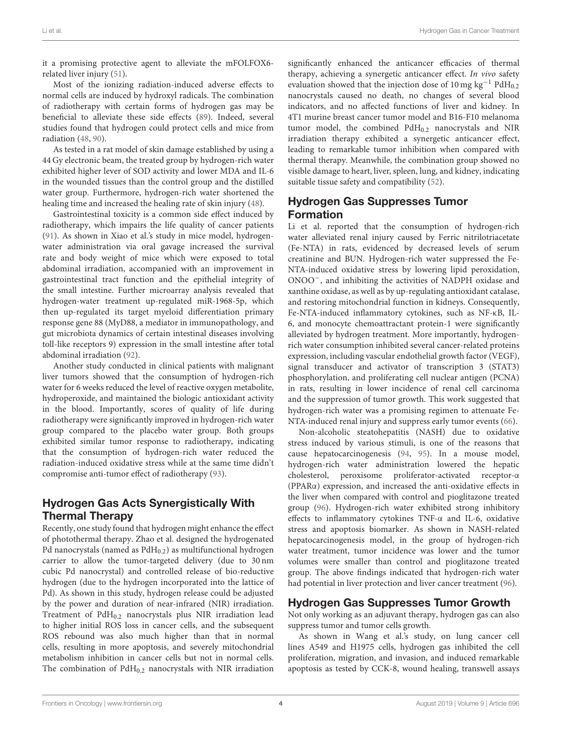it a promising protective agent to alleviate the mFOLFOX6 related liver injury [\(51\)](#page-7-4).

Most of the ionizing radiation-induced adverse effects to normal cells are induced by hydroxyl radicals. The combination of radiotherapy with certain forms of hydrogen gas may be beneficial to alleviate these side effects [\(89\)](#page-8-1). Indeed, several studies found that hydrogen could protect cells and mice from radiation [\(48,](#page-7-1) [90\)](#page-8-2).

As tested in a rat model of skin damage established by using a 44 Gy electronic beam, the treated group by hydrogen-rich water exhibited higher lever of SOD activity and lower MDA and IL-6 in the wounded tissues than the control group and the distilled water group. Furthermore, hydrogen-rich water shortened the healing time and increased the healing rate of skin injury [\(48\)](#page-7-1).

Gastrointestinal toxicity is a common side effect induced by radiotherapy, which impairs the life quality of cancer patients [\(91\)](#page-8-3). As shown in Xiao et al.'s study in mice model, hydrogenwater administration via oral gavage increased the survival rate and body weight of mice which were exposed to total abdominal irradiation, accompanied with an improvement in gastrointestinal tract function and the epithelial integrity of the small intestine. Further microarray analysis revealed that hydrogen-water treatment up-regulated miR-1968-5p, which then up-regulated its target myeloid differentiation primary response gene 88 (MyD88, a mediator in immunopathology, and gut microbiota dynamics of certain intestinal diseases involving toll-like receptors 9) expression in the small intestine after total abdominal irradiation [\(92\)](#page-8-4).

Another study conducted in clinical patients with malignant liver tumors showed that the consumption of hydrogen-rich water for 6 weeks reduced the level of reactive oxygen metabolite, hydroperoxide, and maintained the biologic antioxidant activity in the blood. Importantly, scores of quality of life during radiotherapy were significantly improved in hydrogen-rich water group compared to the placebo water group. Both groups exhibited similar tumor response to radiotherapy, indicating that the consumption of hydrogen-rich water reduced the radiation-induced oxidative stress while at the same time didn't compromise anti-tumor effect of radiotherapy [\(93\)](#page-8-5).

### Hydrogen Gas Acts Synergistically With Thermal Therapy

Recently, one study found that hydrogen might enhance the effect of photothermal therapy. Zhao et al. designed the hydrogenated Pd nanocrystals (named as  $PdH_{0.2}$ ) as multifunctional hydrogen carrier to allow the tumor-targeted delivery (due to 30 nm cubic Pd nanocrystal) and controlled release of bio-reductive hydrogen (due to the hydrogen incorporated into the lattice of Pd). As shown in this study, hydrogen release could be adjusted by the power and duration of near-infrared (NIR) irradiation. Treatment of  $PdH<sub>0.2</sub>$  nanocrystals plus NIR irradiation lead to higher initial ROS loss in cancer cells, and the subsequent ROS rebound was also much higher than that in normal cells, resulting in more apoptosis, and severely mitochondrial metabolism inhibition in cancer cells but not in normal cells. The combination of  $PdH<sub>0.2</sub>$  nanocrystals with NIR irradiation

significantly enhanced the anticancer efficacies of thermal therapy, achieving a synergetic anticancer effect. In vivo safety evaluation showed that the injection dose of 10 mg kg<sup>-1</sup> PdH<sub>0.2</sub> nanocrystals caused no death, no changes of several blood indicators, and no affected functions of liver and kidney. In 4T1 murine breast cancer tumor model and B16-F10 melanoma tumor model, the combined  $PdH<sub>0.2</sub>$  nanocrystals and NIR irradiation therapy exhibited a synergetic anticancer effect, leading to remarkable tumor inhibition when compared with thermal therapy. Meanwhile, the combination group showed no visible damage to heart, liver, spleen, lung, and kidney, indicating suitable tissue safety and compatibility [\(52\)](#page-7-5).

### Hydrogen Gas Suppresses Tumor Formation

Li et al. reported that the consumption of hydrogen-rich water alleviated renal injury caused by Ferric nitrilotriacetate (Fe-NTA) in rats, evidenced by decreased levels of serum creatinine and BUN. Hydrogen-rich water suppressed the Fe-NTA-induced oxidative stress by lowering lipid peroxidation, ONOO−, and inhibiting the activities of NADPH oxidase and xanthine oxidase, as well as by up-regulating antioxidant catalase, and restoring mitochondrial function in kidneys. Consequently, Fe-NTA-induced inflammatory cytokines, such as NF-κB, IL-6, and monocyte chemoattractant protein-1 were significantly alleviated by hydrogen treatment. More importantly, hydrogenrich water consumption inhibited several cancer-related proteins expression, including vascular endothelial growth factor (VEGF), signal transducer and activator of transcription 3 (STAT3) phosphorylation, and proliferating cell nuclear antigen (PCNA) in rats, resulting in lower incidence of renal cell carcinoma and the suppression of tumor growth. This work suggested that hydrogen-rich water was a promising regimen to attenuate Fe-NTA-induced renal injury and suppress early tumor events [\(66\)](#page-7-16).

Non-alcoholic steatohepatitis (NASH) due to oxidative stress induced by various stimuli, is one of the reasons that cause hepatocarcinogenesis [\(94,](#page-8-6) [95\)](#page-8-7). In a mouse model, hydrogen-rich water administration lowered the hepatic cholesterol, peroxisome proliferator-activated receptor-α (PPARα) expression, and increased the anti-oxidative effects in the liver when compared with control and pioglitazone treated group [\(96\)](#page-8-8). Hydrogen-rich water exhibited strong inhibitory effects to inflammatory cytokines TNF-α and IL-6, oxidative stress and apoptosis biomarker. As shown in NASH-related hepatocarcinogenesis model, in the group of hydrogen-rich water treatment, tumor incidence was lower and the tumor volumes were smaller than control and pioglitazone treated group. The above findings indicated that hydrogen-rich water had potential in liver protection and liver cancer treatment [\(96\)](#page-8-8).

### Hydrogen Gas Suppresses Tumor Growth

Not only working as an adjuvant therapy, hydrogen gas can also suppress tumor and tumor cells growth.

As shown in Wang et al.'s study, on lung cancer cell lines A549 and H1975 cells, hydrogen gas inhibited the cell proliferation, migration, and invasion, and induced remarkable apoptosis as tested by CCK-8, wound healing, transwell assays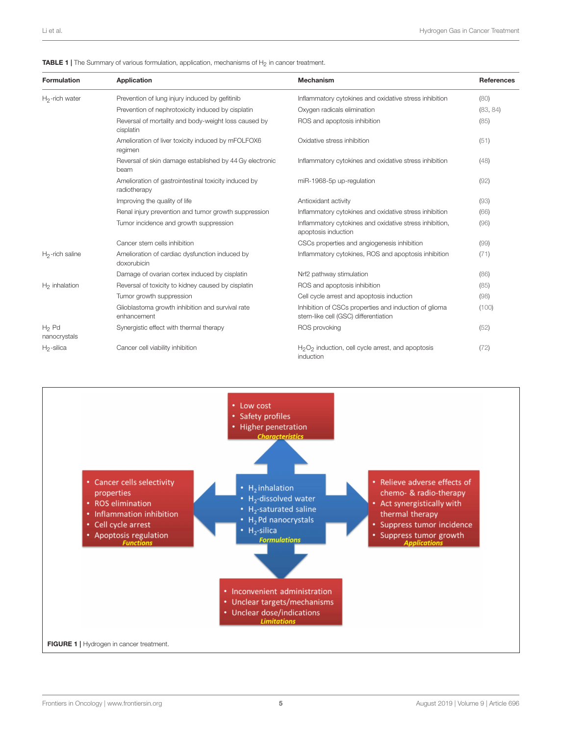<span id="page-4-0"></span>

|  | <b>TABLE 1</b>   The Summary of various formulation, application, mechanisms of H <sub>2</sub> in cancer treatment. |
|--|---------------------------------------------------------------------------------------------------------------------|
|--|---------------------------------------------------------------------------------------------------------------------|

| <b>Formulation</b>       | Application                                                          | <b>Mechanism</b>                                                                              | References |
|--------------------------|----------------------------------------------------------------------|-----------------------------------------------------------------------------------------------|------------|
| $H_2$ -rich water        | Prevention of lung injury induced by gefitinib                       | Inflammatory cytokines and oxidative stress inhibition                                        | (80)       |
|                          | Prevention of nephrotoxicity induced by cisplatin                    | Oxygen radicals elimination                                                                   | (83, 84)   |
|                          | Reversal of mortality and body-weight loss caused by<br>cisplatin    | ROS and apoptosis inhibition                                                                  | (85)       |
|                          | Amelioration of liver toxicity induced by mFOLFOX6<br>regimen        | Oxidative stress inhibition                                                                   | (51)       |
|                          | Reversal of skin damage established by 44 Gy electronic<br>beam      | Inflammatory cytokines and oxidative stress inhibition                                        | (48)       |
|                          | Amelioration of gastrointestinal toxicity induced by<br>radiotherapy | miR-1968-5p up-regulation                                                                     | (92)       |
|                          | Improving the quality of life                                        | Antioxidant activity                                                                          | (93)       |
|                          | Renal injury prevention and tumor growth suppression                 | Inflammatory cytokines and oxidative stress inhibition                                        | (66)       |
|                          | Tumor incidence and growth suppression                               | Inflammatory cytokines and oxidative stress inhibition,<br>apoptosis induction                | (96)       |
|                          | Cancer stem cells inhibition                                         | CSCs properties and angiogenesis inhibition                                                   | (99)       |
| $H_2$ -rich saline       | Amelioration of cardiac dysfunction induced by<br>doxorubicin        | Inflammatory cytokines, ROS and apoptosis inhibition                                          | (71)       |
|                          | Damage of ovarian cortex induced by cisplatin                        | Nrf2 pathway stimulation                                                                      | (86)       |
| $H_2$ inhalation         | Reversal of toxicity to kidney caused by cisplatin                   | ROS and apoptosis inhibition                                                                  | (85)       |
|                          | Tumor growth suppression                                             | Cell cycle arrest and apoptosis induction                                                     | (98)       |
|                          | Glioblastoma growth inhibition and survival rate<br>enhancement      | Inhibition of CSCs properties and induction of glioma<br>stem-like cell (GSC) differentiation | (100)      |
| $H_2$ Pd<br>nanocrystals | Synergistic effect with thermal therapy                              | ROS provoking                                                                                 | (52)       |
| $H_2$ -silica            | Cancer cell viability inhibition                                     | $H_2O_2$ induction, cell cycle arrest, and apoptosis<br>induction                             | (72)       |

<span id="page-4-1"></span>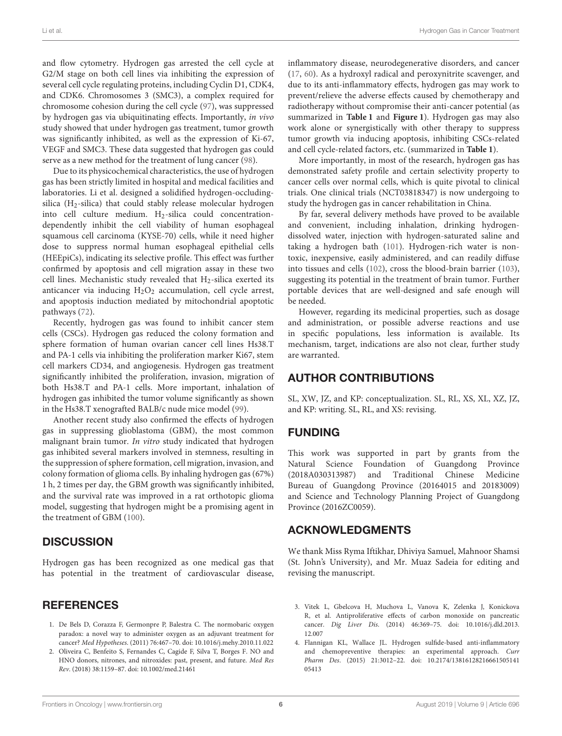Li et al. Hydrogen Gas in Cancer Treatment

and flow cytometry. Hydrogen gas arrested the cell cycle at G2/M stage on both cell lines via inhibiting the expression of several cell cycle regulating proteins, including Cyclin D1, CDK4, and CDK6. Chromosomes 3 (SMC3), a complex required for chromosome cohesion during the cell cycle [\(97\)](#page-8-12), was suppressed by hydrogen gas via ubiquitinating effects. Importantly, in vivo study showed that under hydrogen gas treatment, tumor growth was significantly inhibited, as well as the expression of Ki-67, VEGF and SMC3. These data suggested that hydrogen gas could serve as a new method for the treatment of lung cancer [\(98\)](#page-8-10).

Due to its physicochemical characteristics, the use of hydrogen gas has been strictly limited in hospital and medical facilities and laboratories. Li et al. designed a solidified hydrogen-occludingsilica ( $H_2$ -silica) that could stably release molecular hydrogen into cell culture medium.  $H_2$ -silica could concentrationdependently inhibit the cell viability of human esophageal squamous cell carcinoma (KYSE-70) cells, while it need higher dose to suppress normal human esophageal epithelial cells (HEEpiCs), indicating its selective profile. This effect was further confirmed by apoptosis and cell migration assay in these two cell lines. Mechanistic study revealed that  $H_2$ -silica exerted its anticancer via inducing  $H_2O_2$  accumulation, cell cycle arrest, and apoptosis induction mediated by mitochondrial apoptotic pathways [\(72\)](#page-7-22).

Recently, hydrogen gas was found to inhibit cancer stem cells (CSCs). Hydrogen gas reduced the colony formation and sphere formation of human ovarian cancer cell lines Hs38.T and PA-1 cells via inhibiting the proliferation marker Ki67, stem cell markers CD34, and angiogenesis. Hydrogen gas treatment significantly inhibited the proliferation, invasion, migration of both Hs38.T and PA-1 cells. More important, inhalation of hydrogen gas inhibited the tumor volume significantly as shown in the Hs38.T xenografted BALB/c nude mice model [\(99\)](#page-8-9).

Another recent study also confirmed the effects of hydrogen gas in suppressing glioblastoma (GBM), the most common malignant brain tumor. In vitro study indicated that hydrogen gas inhibited several markers involved in stemness, resulting in the suppression of sphere formation, cell migration, invasion, and colony formation of glioma cells. By inhaling hydrogen gas (67%) 1 h, 2 times per day, the GBM growth was significantly inhibited, and the survival rate was improved in a rat orthotopic glioma model, suggesting that hydrogen might be a promising agent in the treatment of GBM [\(100\)](#page-8-11).

### **DISCUSSION**

Hydrogen gas has been recognized as one medical gas that has potential in the treatment of cardiovascular disease,

## **REFERENCES**

- <span id="page-5-0"></span>1. De Bels D, Corazza F, Germonpre P, Balestra C. The normobaric oxygen paradox: a novel way to administer oxygen as an adjuvant treatment for cancer? Med Hypotheses. (2011) 76:467–70. doi: [10.1016/j.mehy.2010.11.022](https://doi.org/10.1016/j.mehy.2010.11.022)
- <span id="page-5-1"></span>2. Oliveira C, Benfeito S, Fernandes C, Cagide F, Silva T, Borges F. NO and HNO donors, nitrones, and nitroxides: past, present, and future. Med Res Rev. (2018) 38:1159–87. doi: [10.1002/med.21461](https://doi.org/10.1002/med.21461)

inflammatory disease, neurodegenerative disorders, and cancer [\(17,](#page-6-25) [60\)](#page-7-10). As a hydroxyl radical and peroxynitrite scavenger, and due to its anti-inflammatory effects, hydrogen gas may work to prevent/relieve the adverse effects caused by chemotherapy and radiotherapy without compromise their anti-cancer potential (as summarized in **[Table 1](#page-4-0)** and **[Figure 1](#page-4-1)**). Hydrogen gas may also work alone or synergistically with other therapy to suppress tumor growth via inducing apoptosis, inhibiting CSCs-related and cell cycle-related factors, etc. (summarized in **[Table 1](#page-4-0)**).

More importantly, in most of the research, hydrogen gas has demonstrated safety profile and certain selectivity property to cancer cells over normal cells, which is quite pivotal to clinical trials. One clinical trials (NCT03818347) is now undergoing to study the hydrogen gas in cancer rehabilitation in China.

By far, several delivery methods have proved to be available and convenient, including inhalation, drinking hydrogendissolved water, injection with hydrogen-saturated saline and taking a hydrogen bath [\(101\)](#page-8-13). Hydrogen-rich water is nontoxic, inexpensive, easily administered, and can readily diffuse into tissues and cells [\(102\)](#page-8-14), cross the blood-brain barrier [\(103\)](#page-8-15), suggesting its potential in the treatment of brain tumor. Further portable devices that are well-designed and safe enough will be needed.

However, regarding its medicinal properties, such as dosage and administration, or possible adverse reactions and use in specific populations, less information is available. Its mechanism, target, indications are also not clear, further study are warranted.

## AUTHOR CONTRIBUTIONS

SL, XW, JZ, and KP: conceptualization. SL, RL, XS, XL, XZ, JZ, and KP: writing. SL, RL, and XS: revising.

## FUNDING

This work was supported in part by grants from the Natural Science Foundation of Guangdong Province (2018A030313987) and Traditional Chinese Medicine Bureau of Guangdong Province (20164015 and 20183009) and Science and Technology Planning Project of Guangdong Province (2016ZC0059).

### ACKNOWLEDGMENTS

We thank Miss Ryma Iftikhar, Dhiviya Samuel, Mahnoor Shamsi (St. John's University), and Mr. Muaz Sadeia for editing and revising the manuscript.

- <span id="page-5-2"></span>3. Vitek L, Gbelcova H, Muchova L, Vanova K, Zelenka J, Konickova R, et al. Antiproliferative effects of carbon monoxide on pancreatic cancer. Dig Liver Dis[. \(2014\) 46:369–75. doi: 10.1016/j.dld.2013.](https://doi.org/10.1016/j.dld.2013.12.007) 12.007
- <span id="page-5-3"></span>4. Flannigan KL, Wallace JL. Hydrogen sulfide-based anti-inflammatory and chemopreventive therapies: an experimental approach. Curr Pharm Des[. \(2015\) 21:3012–22. doi: 10.2174/13816128216661505141](https://doi.org/10.2174/1381612821666150514105413) 05413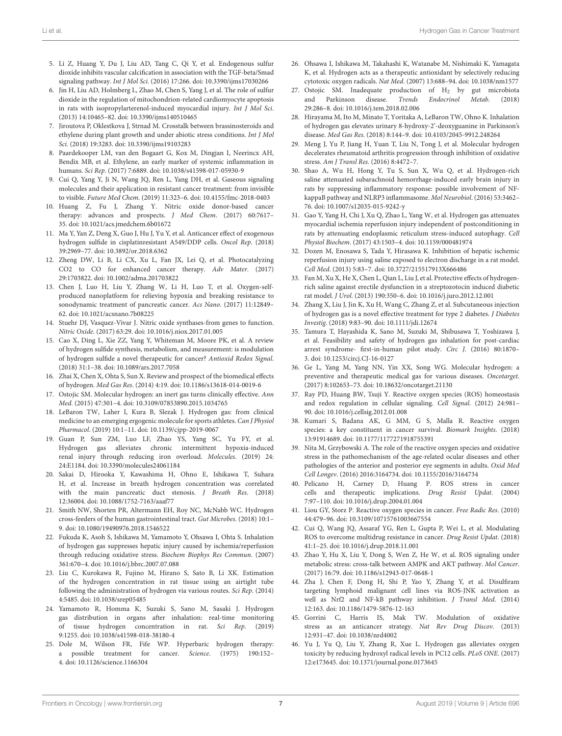- <span id="page-6-0"></span>5. Li Z, Huang Y, Du J, Liu AD, Tang C, Qi Y, et al. Endogenous sulfur dioxide inhibits vascular calcification in association with the TGF-beta/Smad signaling pathway. Int J Mol Sci. (2016) 17:266. doi: [10.3390/ijms17030266](https://doi.org/10.3390/ijms17030266)
- <span id="page-6-1"></span>6. Jin H, Liu AD, Holmberg L, Zhao M, Chen S, Yang J, et al. The role of sulfur dioxide in the regulation of mitochondrion-related cardiomyocyte apoptosis in rats with isopropylarterenol-induced myocardial injury. Int J Mol Sci. (2013) 14:10465–82. doi: [10.3390/ijms140510465](https://doi.org/10.3390/ijms140510465)
- <span id="page-6-2"></span>7. Jiroutova P, Oklestkova J, Strnad M. Crosstalk between brassinosteroids and ethylene during plant growth and under abiotic stress conditions. Int J Mol Sci. (2018) 19:3283. doi: [10.3390/ijms19103283](https://doi.org/10.3390/ijms19103283)
- <span id="page-6-3"></span>8. Paardekooper LM, van den Bogaart G, Kox M, Dingjan I, Neerincx AH, Bendix MB, et al. Ethylene, an early marker of systemic inflammation in humans. Sci Rep. (2017) 7:6889. doi: [10.1038/s41598-017-05930-9](https://doi.org/10.1038/s41598-017-05930-9)
- <span id="page-6-4"></span>9. Cui Q, Yang Y, Ji N, Wang JQ, Ren L, Yang DH, et al. Gaseous signaling molecules and their application in resistant cancer treatment: from invisible to visible. Future Med Chem. (2019) 11:323–6. doi: [10.4155/fmc-2018-0403](https://doi.org/10.4155/fmc-2018-0403)
- 10. Huang Z, Fu J, Zhang Y. Nitric oxide donor-based cancer therapy: advances and prospects. J Med Chem. (2017) 60:7617-35. doi: [10.1021/acs.jmedchem.6b01672](https://doi.org/10.1021/acs.jmedchem.6b01672)
- 11. Ma Y, Yan Z, Deng X, Guo J, Hu J, Yu Y, et al. Anticancer effect of exogenous hydrogen sulfide in cisplatinresistant A549/DDP cells. Oncol Rep. (2018) 39:2969–77. doi: [10.3892/or.2018.6362](https://doi.org/10.3892/or.2018.6362)
- 12. Zheng DW, Li B, Li CX, Xu L, Fan JX, Lei Q, et al. Photocatalyzing CO2 to CO for enhanced cancer therapy. Adv Mater. (2017) 29:1703822. doi: [10.1002/adma.201703822](https://doi.org/10.1002/adma.201703822)
- <span id="page-6-5"></span>13. Chen J, Luo H, Liu Y, Zhang W, Li H, Luo T, et al. Oxygen-selfproduced nanoplatform for relieving hypoxia and breaking resistance to sonodynamic treatment of pancreatic cancer. Acs Nano. (2017) 11:12849– 62. doi: [10.1021/acsnano.7b08225](https://doi.org/10.1021/acsnano.7b08225)
- <span id="page-6-6"></span>14. Stuehr DJ, Vasquez-Vivar J. Nitric oxide synthases-from genes to function. Nitric Oxide. (2017) 63:29. doi: [10.1016/j.niox.2017.01.005](https://doi.org/10.1016/j.niox.2017.01.005)
- <span id="page-6-7"></span>15. Cao X, Ding L, Xie ZZ, Yang Y, Whiteman M, Moore PK, et al. A review of hydrogen sulfide synthesis, metabolism, and measurement: is modulation of hydrogen sulfide a novel therapeutic for cancer? Antioxid Redox Signal. (2018) 31:1–38. doi: [10.1089/ars.2017.7058](https://doi.org/10.1089/ars.2017.7058)
- <span id="page-6-8"></span>16. Zhai X, Chen X, Ohta S, Sun X. Review and prospect of the biomedical effects of hydrogen. Med Gas Res. (2014) 4:19. doi: [10.1186/s13618-014-0019-6](https://doi.org/10.1186/s13618-014-0019-6)
- <span id="page-6-25"></span>17. Ostojic SM. Molecular hydrogen: an inert gas turns clinically effective. Ann Med. (2015) 47:301–4. doi: [10.3109/07853890.2015.1034765](https://doi.org/10.3109/07853890.2015.1034765)
- 18. LeBaron TW, Laher I, Kura B, Slezak J. Hydrogen gas: from clinical medicine to an emerging ergogenic molecule for sports athletes. Can J Physiol Pharmacol. (2019) 10:1–11. doi: [10.1139/cjpp-2019-0067](https://doi.org/10.1139/cjpp-2019-0067)
- <span id="page-6-9"></span>19. Guan P, Sun ZM, Luo LF, Zhao YS, Yang SC, Yu FY, et al. Hydrogen gas alleviates chronic intermittent hypoxia-induced renal injury through reducing iron overload. Molecules. (2019) 24: 24:E1184. doi: [10.3390/molecules24061184](https://doi.org/10.3390/molecules24061184)
- <span id="page-6-10"></span>20. Sakai D, Hirooka Y, Kawashima H, Ohno E, Ishikawa T, Suhara H, et al. Increase in breath hydrogen concentration was correlated with the main pancreatic duct stenosis. J Breath Res. (2018) 12:36004. doi: [10.1088/1752-7163/aaaf77](https://doi.org/10.1088/1752-7163/aaaf77)
- <span id="page-6-11"></span>21. Smith NW, Shorten PR, Altermann EH, Roy NC, McNabb WC. Hydrogen cross-feeders of the human gastrointestinal tract. Gut Microbes. (2018) 10:1– 9. doi: [10.1080/19490976.2018.1546522](https://doi.org/10.1080/19490976.2018.1546522)
- <span id="page-6-12"></span>22. Fukuda K, Asoh S, Ishikawa M, Yamamoto Y, Ohsawa I, Ohta S. Inhalation of hydrogen gas suppresses hepatic injury caused by ischemia/reperfusion through reducing oxidative stress. Biochem Biophys Res Commun. (2007) 361:670–4. doi: [10.1016/j.bbrc.2007.07.088](https://doi.org/10.1016/j.bbrc.2007.07.088)
- <span id="page-6-13"></span>23. Liu C, Kurokawa R, Fujino M, Hirano S, Sato B, Li XK. Estimation of the hydrogen concentration in rat tissue using an airtight tube following the administration of hydrogen via various routes. Sci Rep. (2014) 4:5485. doi: [10.1038/srep05485](https://doi.org/10.1038/srep05485)
- <span id="page-6-14"></span>24. Yamamoto R, Homma K, Suzuki S, Sano M, Sasaki J. Hydrogen gas distribution in organs after inhalation: real-time monitoring of tissue hydrogen concentration in rat. Sci Rep. (2019) 9:1255. doi: [10.1038/s41598-018-38180-4](https://doi.org/10.1038/s41598-018-38180-4)
- <span id="page-6-15"></span>25. Dole M, Wilson FR, Fife WP. Hyperbaric hydrogen therapy: a possible treatment for cancer. Science. (1975) 190:152– 4. doi: [10.1126/science.1166304](https://doi.org/10.1126/science.1166304)
- <span id="page-6-16"></span>26. Ohsawa I, Ishikawa M, Takahashi K, Watanabe M, Nishimaki K, Yamagata K, et al. Hydrogen acts as a therapeutic antioxidant by selectively reducing cytotoxic oxygen radicals. Nat Med. (2007) 13:688–94. doi: [10.1038/nm1577](https://doi.org/10.1038/nm1577)
- <span id="page-6-17"></span>27. Ostojic SM. Inadequate production of  $H_2$  by gut microbiota and Parkinson disease. Trends Endocrinol Metab. (2018) 29:286–8. doi: [10.1016/j.tem.2018.02.006](https://doi.org/10.1016/j.tem.2018.02.006)
- <span id="page-6-18"></span>28. Hirayama M, Ito M, Minato T, Yoritaka A, LeBaron TW, Ohno K. Inhalation of hydrogen gas elevates urinary 8-hydroxy-2'-deoxyguanine in Parkinson's disease. Med Gas Res. (2018) 8:144–9. doi: [10.4103/2045-9912.248264](https://doi.org/10.4103/2045-9912.248264)
- <span id="page-6-19"></span>29. Meng J, Yu P, Jiang H, Yuan T, Liu N, Tong J, et al. Molecular hydrogen decelerates rheumatoid arthritis progression through inhibition of oxidative stress. Am J Transl Res. (2016) 8:4472–7.
- <span id="page-6-20"></span>30. Shao A, Wu H, Hong Y, Tu S, Sun X, Wu Q, et al. Hydrogen-rich saline attenuated subarachnoid hemorrhage-induced early brain injury in rats by suppressing inflammatory response: possible involvement of NFkappaB pathway and NLRP3 inflammasome. Mol Neurobiol. (2016) 53:3462– 76. doi: [10.1007/s12035-015-9242-y](https://doi.org/10.1007/s12035-015-9242-y)
- <span id="page-6-21"></span>31. Gao Y, Yang H, Chi J, Xu Q, Zhao L, Yang W, et al. Hydrogen gas attenuates myocardial ischemia reperfusion injury independent of postconditioning in rats by attenuating endoplasmic reticulum stress-induced autophagy. Cell Physiol Biochem. (2017) 43:1503–4. doi: [10.1159/000481974](https://doi.org/10.1159/000481974)
- <span id="page-6-22"></span>32. Dozen M, Enosawa S, Tada Y, Hirasawa K. Inhibition of hepatic ischemic reperfusion injury using saline exposed to electron discharge in a rat model. Cell Med. (2013) 5:83–7. doi: [10.3727/215517913X666486](https://doi.org/10.3727/215517913X666486)
- <span id="page-6-23"></span>33. Fan M, Xu X, He X, Chen L, Qian L, Liu J, et al. Protective effects of hydrogenrich saline against erectile dysfunction in a streptozotocin induced diabetic rat model. J Urol. (2013) 190:350–6. doi: [10.1016/j.juro.2012.12.001](https://doi.org/10.1016/j.juro.2012.12.001)
- <span id="page-6-24"></span>34. Zhang X, Liu J, Jin K, Xu H, Wang C, Zhang Z, et al. Subcutaneous injection of hydrogen gas is a novel effective treatment for type 2 diabetes. J Diabetes Investig. (2018) 9:83–90. doi: [10.1111/jdi.12674](https://doi.org/10.1111/jdi.12674)
- <span id="page-6-26"></span>35. Tamura T, Hayashida K, Sano M, Suzuki M, Shibusawa T, Yoshizawa J, et al. Feasibility and safety of hydrogen gas inhalation for post-cardiac arrest syndrome- first-in-human pilot study. Circ J. (2016) 80:1870– 3. doi: [10.1253/circj.CJ-16-0127](https://doi.org/10.1253/circj.CJ-16-0127)
- <span id="page-6-27"></span>36. Ge L, Yang M, Yang NN, Yin XX, Song WG. Molecular hydrogen: a preventive and therapeutic medical gas for various diseases. Oncotarget. (2017) 8:102653–73. doi: [10.18632/oncotarget.21130](https://doi.org/10.18632/oncotarget.21130)
- <span id="page-6-28"></span>37. Ray PD, Huang BW, Tsuji Y. Reactive oxygen species (ROS) homeostasis and redox regulation in cellular signaling. Cell Signal. (2012) 24:981– 90. doi: [10.1016/j.cellsig.2012.01.008](https://doi.org/10.1016/j.cellsig.2012.01.008)
- <span id="page-6-29"></span>38. Kumari S, Badana AK, G MM, G S, Malla R. Reactive oxygen species: a key constituent in cancer survival. Biomark Insights. (2018) 13:91914689. doi: [10.1177/1177271918755391](https://doi.org/10.1177/1177271918755391)
- <span id="page-6-30"></span>39. Nita M, Grzybowski A. The role of the reactive oxygen species and oxidative stress in the pathomechanism of the age-related ocular diseases and other pathologies of the anterior and posterior eye segments in adults. Oxid Med Cell Longev. (2016) 2016:3164734. doi: [10.1155/2016/3164734](https://doi.org/10.1155/2016/3164734)
- <span id="page-6-31"></span>40. Pelicano H, Carney D, Huang P. ROS stress in cancer cells and therapeutic implications. Drug Resist Updat. (2004) 7:97–110. doi: [10.1016/j.drup.2004.01.004](https://doi.org/10.1016/j.drup.2004.01.004)
- <span id="page-6-32"></span>41. Liou GY, Storz P. Reactive oxygen species in cancer. Free Radic Res. (2010) 44:479–96. doi: [10.3109/10715761003667554](https://doi.org/10.3109/10715761003667554)
- <span id="page-6-33"></span>42. Cui Q, Wang JQ, Assaraf YG, Ren L, Gupta P, Wei L, et al. Modulating ROS to overcome multidrug resistance in cancer. Drug Resist Updat. (2018) 41:1–25. doi: [10.1016/j.drup.2018.11.001](https://doi.org/10.1016/j.drup.2018.11.001)
- <span id="page-6-34"></span>43. Zhao Y, Hu X, Liu Y, Dong S, Wen Z, He W, et al. ROS signaling under metabolic stress: cross-talk between AMPK and AKT pathway. Mol Cancer. (2017) 16:79. doi: [10.1186/s12943-017-0648-1](https://doi.org/10.1186/s12943-017-0648-1)
- 44. Zha J, Chen F, Dong H, Shi P, Yao Y, Zhang Y, et al. Disulfiram targeting lymphoid malignant cell lines via ROS-JNK activation as well as Nrf2 and NF-kB pathway inhibition. J Transl Med. (2014) 12:163. doi: [10.1186/1479-5876-12-163](https://doi.org/10.1186/1479-5876-12-163)
- <span id="page-6-35"></span>45. Gorrini C, Harris IS, Mak TW. Modulation of oxidative stress as an anticancer strategy. Nat Rev Drug Discov. (2013) 12:931–47. doi: [10.1038/nrd4002](https://doi.org/10.1038/nrd4002)
- <span id="page-6-36"></span>46. Yu J, Yu Q, Liu Y, Zhang R, Xue L. Hydrogen gas alleviates oxygen toxicity by reducing hydroxyl radical levels in PC12 cells. PLoS ONE. (2017) 12:e173645. doi: [10.1371/journal.pone.0173645](https://doi.org/10.1371/journal.pone.0173645)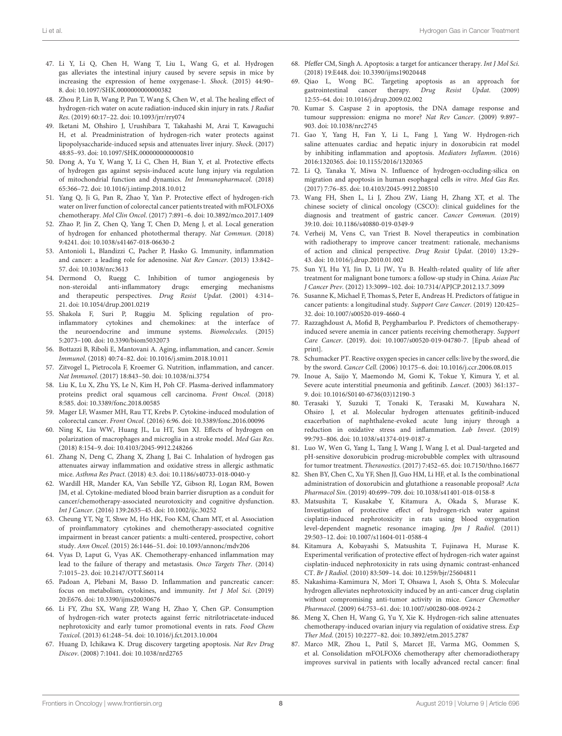- <span id="page-7-0"></span>47. Li Y, Li Q, Chen H, Wang T, Liu L, Wang G, et al. Hydrogen gas alleviates the intestinal injury caused by severe sepsis in mice by increasing the expression of heme oxygenase-1. Shock. (2015) 44:90– 8. doi: [10.1097/SHK.0000000000000382](https://doi.org/10.1097/SHK.0000000000000382)
- <span id="page-7-1"></span>48. Zhou P, Lin B, Wang P, Pan T, Wang S, Chen W, et al. The healing effect of hydrogen-rich water on acute radiation-induced skin injury in rats. J Radiat Res. (2019) 60:17–22. doi: [10.1093/jrr/rry074](https://doi.org/10.1093/jrr/rry074)
- <span id="page-7-2"></span>49. Iketani M, Ohshiro J, Urushibara T, Takahashi M, Arai T, Kawaguchi H, et al. Preadministration of hydrogen-rich water protects against lipopolysaccharide-induced sepsis and attenuates liver injury. Shock. (2017) 48:85–93. doi: [10.1097/SHK.0000000000000810](https://doi.org/10.1097/SHK.0000000000000810)
- <span id="page-7-3"></span>50. Dong A, Yu Y, Wang Y, Li C, Chen H, Bian Y, et al. Protective effects of hydrogen gas against sepsis-induced acute lung injury via regulation of mitochondrial function and dynamics. Int Immunopharmacol. (2018) 65:366–72. doi: [10.1016/j.intimp.2018.10.012](https://doi.org/10.1016/j.intimp.2018.10.012)
- <span id="page-7-4"></span>51. Yang Q, Ji G, Pan R, Zhao Y, Yan P. Protective effect of hydrogen-rich water on liver function of colorectal cancer patients treated with mFOLFOX6 chemotherapy. Mol Clin Oncol. (2017) 7:891–6. doi: [10.3892/mco.2017.1409](https://doi.org/10.3892/mco.2017.1409)
- <span id="page-7-5"></span>52. Zhao P, Jin Z, Chen Q, Yang T, Chen D, Meng J, et al. Local generation of hydrogen for enhanced photothermal therapy. Nat Commun. (2018) 9:4241. doi: [10.1038/s41467-018-06630-2](https://doi.org/10.1038/s41467-018-06630-2)
- <span id="page-7-6"></span>53. Antonioli L, Blandizzi C, Pacher P, Hasko G. Immunity, inflammation and cancer: a leading role for adenosine. Nat Rev Cancer. (2013) 13:842– 57. doi: [10.1038/nrc3613](https://doi.org/10.1038/nrc3613)
- 54. Dermond O, Ruegg C. Inhibition of tumor angiogenesis by non-steroidal anti-inflammatory drugs: emerging and therapeutic perspectives. Drug Resist Updat. (2001) 4:314– 21. doi: [10.1054/drup.2001.0219](https://doi.org/10.1054/drup.2001.0219)
- <span id="page-7-7"></span>55. Shakola F, Suri P, Ruggiu M. Splicing regulation of proinflammatory cytokines and chemokines: at the interface of the neuroendocrine and immune systems. Biomolecules. (2015) 5:2073–100. doi: [10.3390/biom5032073](https://doi.org/10.3390/biom5032073)
- <span id="page-7-8"></span>56. Bottazzi B, Riboli E, Mantovani A. Aging, inflammation, and cancer. Semin Immunol. (2018) 40:74–82. doi: [10.1016/j.smim.2018.10.011](https://doi.org/10.1016/j.smim.2018.10.011)
- 57. Zitvogel L, Pietrocola F, Kroemer G. Nutrition, inflammation, and cancer. Nat Immunol. (2017) 18:843–50. doi: [10.1038/ni.3754](https://doi.org/10.1038/ni.3754)
- 58. Liu K, Lu X, Zhu YS, Le N, Kim H, Poh CF. Plasma-derived inflammatory proteins predict oral squamous cell carcinoma. Front Oncol. (2018) 8:585. doi: [10.3389/fonc.2018.00585](https://doi.org/10.3389/fonc.2018.00585)
- <span id="page-7-9"></span>59. Mager LF, Wasmer MH, Rau TT, Krebs P. Cytokine-induced modulation of colorectal cancer. Front Oncol. (2016) 6:96. doi: [10.3389/fonc.2016.00096](https://doi.org/10.3389/fonc.2016.00096)
- <span id="page-7-10"></span>60. Ning K, Liu WW, Huang JL, Lu HT, Sun XJ. Effects of hydrogen on polarization of macrophages and microglia in a stroke model. Med Gas Res. (2018) 8:154–9. doi: [10.4103/2045-9912.248266](https://doi.org/10.4103/2045-9912.248266)
- <span id="page-7-11"></span>61. Zhang N, Deng C, Zhang X, Zhang J, Bai C. Inhalation of hydrogen gas attenuates airway inflammation and oxidative stress in allergic asthmatic mice. Asthma Res Pract. (2018) 4:3. doi: [10.1186/s40733-018-0040-y](https://doi.org/10.1186/s40733-018-0040-y)
- <span id="page-7-12"></span>62. Wardill HR, Mander KA, Van Sebille YZ, Gibson RJ, Logan RM, Bowen JM, et al. Cytokine-mediated blood brain barrier disruption as a conduit for cancer/chemotherapy-associated neurotoxicity and cognitive dysfunction. Int J Cancer. (2016) 139:2635–45. doi: [10.1002/ijc.30252](https://doi.org/10.1002/ijc.30252)
- <span id="page-7-13"></span>63. Cheung YT, Ng T, Shwe M, Ho HK, Foo KM, Cham MT, et al. Association of proinflammatory cytokines and chemotherapy-associated cognitive impairment in breast cancer patients: a multi-centered, prospective, cohort study. Ann Oncol. (2015) 26:1446–51. doi: [10.1093/annonc/mdv206](https://doi.org/10.1093/annonc/mdv206)
- <span id="page-7-14"></span>64. Vyas D, Laput G, Vyas AK. Chemotherapy-enhanced inflammation may lead to the failure of therapy and metastasis. Onco Targets Ther. (2014) 7:1015–23. doi: [10.2147/OTT.S60114](https://doi.org/10.2147/OTT.S60114)
- <span id="page-7-15"></span>65. Padoan A, Plebani M, Basso D. Inflammation and pancreatic cancer: focus on metabolism, cytokines, and immunity. Int J Mol Sci. (2019) 20:E676. doi: [10.3390/ijms20030676](https://doi.org/10.3390/ijms20030676)
- <span id="page-7-16"></span>66. Li FY, Zhu SX, Wang ZP, Wang H, Zhao Y, Chen GP. Consumption of hydrogen-rich water protects against ferric nitrilotriacetate-induced nephrotoxicity and early tumor promotional events in rats. Food Chem Toxicol. (2013) 61:248–54. doi: [10.1016/j.fct.2013.10.004](https://doi.org/10.1016/j.fct.2013.10.004)
- <span id="page-7-17"></span>67. Huang D, Ichikawa K. Drug discovery targeting apoptosis. Nat Rev Drug Discov. (2008) 7:1041. doi: [10.1038/nrd2765](https://doi.org/10.1038/nrd2765)
- <span id="page-7-18"></span>68. Pfeffer CM, Singh A. Apoptosis: a target for anticancer therapy. Int J Mol Sci. (2018) 19:E448. doi: [10.3390/ijms19020448](https://doi.org/10.3390/ijms19020448)
- <span id="page-7-19"></span>69. Qiao L, Wong BC. Targeting apoptosis as an approach for gastrointestinal cancer therapy. Drug Resist Updat. (2009) 12:55–64. doi: [10.1016/j.drup.2009.02.002](https://doi.org/10.1016/j.drup.2009.02.002)
- <span id="page-7-20"></span>70. Kumar S. Caspase 2 in apoptosis, the DNA damage response and tumour suppression: enigma no more? Nat Rev Cancer. (2009) 9:897– 903. doi: [10.1038/nrc2745](https://doi.org/10.1038/nrc2745)
- <span id="page-7-21"></span>71. Gao Y, Yang H, Fan Y, Li L, Fang J, Yang W. Hydrogen-rich saline attenuates cardiac and hepatic injury in doxorubicin rat model by inhibiting inflammation and apoptosis. Mediators Inflamm. (2016) 2016:1320365. doi: [10.1155/2016/1320365](https://doi.org/10.1155/2016/1320365)
- <span id="page-7-22"></span>72. Li Q, Tanaka Y, Miwa N. Influence of hydrogen-occluding-silica on migration and apoptosis in human esophageal cells in vitro. Med Gas Res. (2017) 7:76–85. doi: [10.4103/2045-9912.208510](https://doi.org/10.4103/2045-9912.208510)
- <span id="page-7-23"></span>73. Wang FH, Shen L, Li J, Zhou ZW, Liang H, Zhang XT, et al. The chinese society of clinical oncology (CSCO): clinical guidelines for the diagnosis and treatment of gastric cancer. Cancer Commun. (2019) 39:10. doi: [10.1186/s40880-019-0349-9](https://doi.org/10.1186/s40880-019-0349-9)
- <span id="page-7-24"></span>74. Verheij M, Vens C, van Triest B. Novel therapeutics in combination with radiotherapy to improve cancer treatment: rationale, mechanisms of action and clinical perspective. Drug Resist Updat. (2010) 13:29– 43. doi: [10.1016/j.drup.2010.01.002](https://doi.org/10.1016/j.drup.2010.01.002)
- <span id="page-7-25"></span>75. Sun YJ, Hu YJ, Jin D, Li JW, Yu B. Health-related quality of life after treatment for malignant bone tumors: a follow-up study in China. Asian Pac J Cancer Prev. (2012) 13:3099–102. doi: [10.7314/APJCP.2012.13.7.3099](https://doi.org/10.7314/APJCP.2012.13.7.3099)
- 76. Susanne K, Michael F, Thomas S, Peter E, Andreas H. Predictors of fatigue in cancer patients: a longitudinal study. Support Care Cancer. (2019) 120:425– 32. doi: [10.1007/s00520-019-4660-4](https://doi.org/10.1007/s00520-019-4660-4)
- <span id="page-7-26"></span>77. Razzaghdoust A, Mofid B, Peyghambarlou P. Predictors of chemotherapyinduced severe anemia in cancer patients receiving chemotherapy. Support Care Cancer. (2019). doi: [10.1007/s00520-019-04780-7.](https://doi.org/10.1007/s00520-019-04780-7) [Epub ahead of print].
- <span id="page-7-27"></span>78. Schumacker PT. Reactive oxygen species in cancer cells: live by the sword, die by the sword. Cancer Cell. (2006) 10:175–6. doi: [10.1016/j.ccr.2006.08.015](https://doi.org/10.1016/j.ccr.2006.08.015)
- <span id="page-7-28"></span>79. Inoue A, Saijo Y, Maemondo M, Gomi K, Tokue Y, Kimura Y, et al. Severe acute interstitial pneumonia and gefitinib. Lancet. (2003) 361:137– 9. doi: [10.1016/S0140-6736\(03\)12190-3](https://doi.org/10.1016/S0140-6736(03)12190-3)
- <span id="page-7-29"></span>80. Terasaki Y, Suzuki T, Tonaki K, Terasaki M, Kuwahara N, Ohsiro J, et al. Molecular hydrogen attenuates gefitinib-induced exacerbation of naphthalene-evoked acute lung injury through a reduction in oxidative stress and inflammation. Lab Invest. (2019) 99:793–806. doi: [10.1038/s41374-019-0187-z](https://doi.org/10.1038/s41374-019-0187-z)
- <span id="page-7-30"></span>81. Luo W, Wen G, Yang L, Tang J, Wang J, Wang J, et al. Dual-targeted and pH-sensitive doxorubicin prodrug-microbubble complex with ultrasound for tumor treatment. Theranostics. (2017) 7:452–65. doi: [10.7150/thno.16677](https://doi.org/10.7150/thno.16677)
- <span id="page-7-31"></span>82. Shen BY, Chen C, Xu YF, Shen JJ, Guo HM, Li HF, et al. Is the combinational administration of doxorubicin and glutathione a reasonable proposal? Acta Pharmacol Sin. (2019) 40:699–709. doi: [10.1038/s41401-018-0158-8](https://doi.org/10.1038/s41401-018-0158-8)
- <span id="page-7-32"></span>83. Matsushita T, Kusakabe Y, Kitamura A, Okada S, Murase K. Investigation of protective effect of hydrogen-rich water against cisplatin-induced nephrotoxicity in rats using blood oxygenation level-dependent magnetic resonance imaging. Jpn J Radiol. (2011) 29:503–12. doi: [10.1007/s11604-011-0588-4](https://doi.org/10.1007/s11604-011-0588-4)
- <span id="page-7-33"></span>84. Kitamura A, Kobayashi S, Matsushita T, Fujinawa H, Murase K. Experimental verification of protective effect of hydrogen-rich water against cisplatin-induced nephrotoxicity in rats using dynamic contrast-enhanced CT. Br J Radiol. (2010) 83:509–14. doi: [10.1259/bjr/25604811](https://doi.org/10.1259/bjr/25604811)
- <span id="page-7-34"></span>85. Nakashima-Kamimura N, Mori T, Ohsawa I, Asoh S, Ohta S. Molecular hydrogen alleviates nephrotoxicity induced by an anti-cancer drug cisplatin without compromising anti-tumor activity in mice. Cancer Chemother Pharmacol. (2009) 64:753–61. doi: [10.1007/s00280-008-0924-2](https://doi.org/10.1007/s00280-008-0924-2)
- <span id="page-7-35"></span>86. Meng X, Chen H, Wang G, Yu Y, Xie K. Hydrogen-rich saline attenuates chemotherapy-induced ovarian injury via regulation of oxidative stress. Exp Ther Med. (2015) 10:2277–82. doi: [10.3892/etm.2015.2787](https://doi.org/10.3892/etm.2015.2787)
- <span id="page-7-36"></span>87. Marco MR, Zhou L, Patil S, Marcet JE, Varma MG, Oommen S, et al. Consolidation mFOLFOX6 chemotherapy after chemoradiotherapy improves survival in patients with locally advanced rectal cancer: final